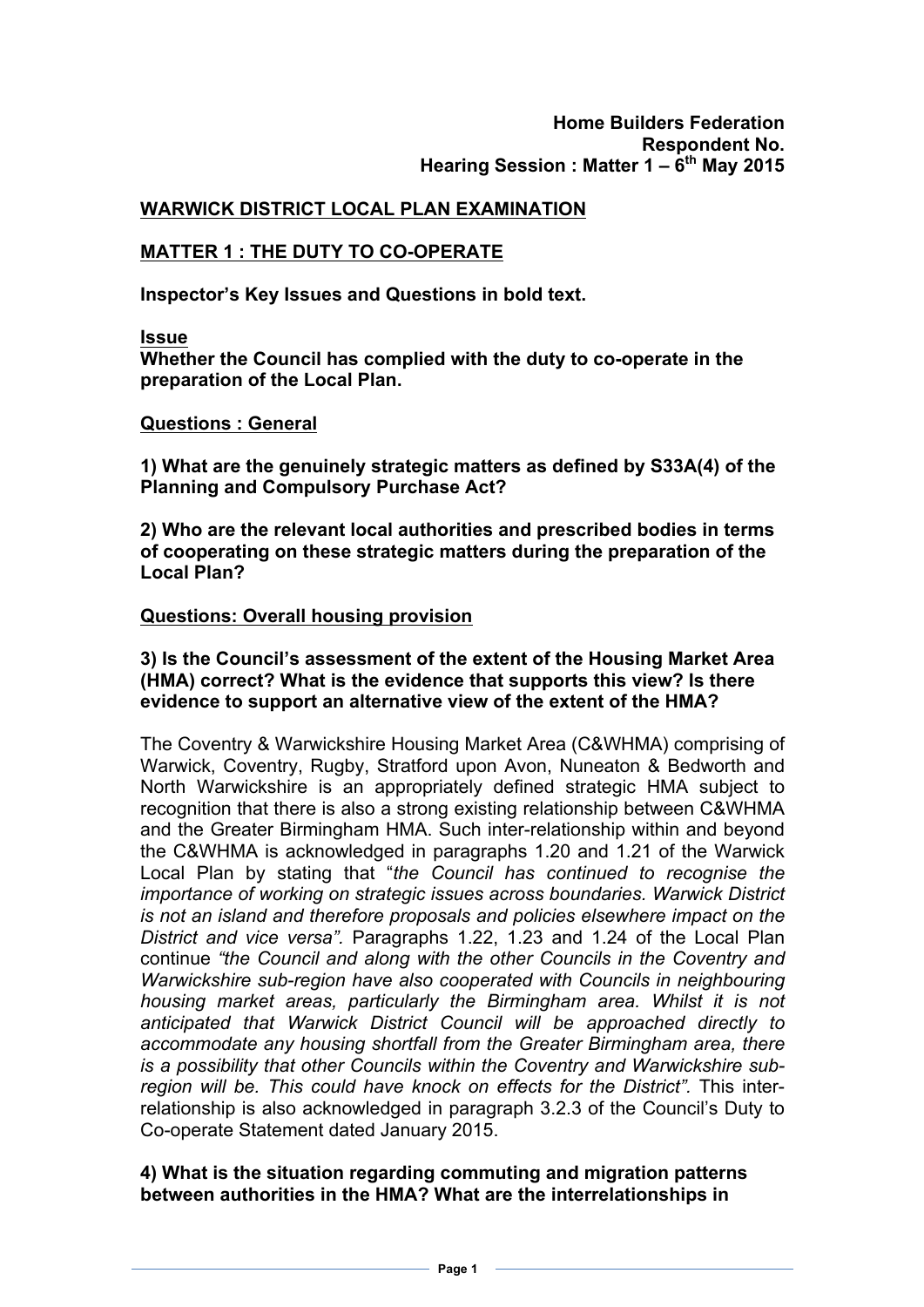## **WARWICK DISTRICT LOCAL PLAN EXAMINATION**

# **MATTER 1 : THE DUTY TO CO-OPERATE**

**Inspector's Key Issues and Questions in bold text.**

#### **Issue**

**Whether the Council has complied with the duty to co-operate in the preparation of the Local Plan.**

#### **Questions : General**

**1) What are the genuinely strategic matters as defined by S33A(4) of the Planning and Compulsory Purchase Act?**

**2) Who are the relevant local authorities and prescribed bodies in terms of cooperating on these strategic matters during the preparation of the Local Plan?**

### **Questions: Overall housing provision**

### **3) Is the Council's assessment of the extent of the Housing Market Area (HMA) correct? What is the evidence that supports this view? Is there evidence to support an alternative view of the extent of the HMA?**

The Coventry & Warwickshire Housing Market Area (C&WHMA) comprising of Warwick, Coventry, Rugby, Stratford upon Avon, Nuneaton & Bedworth and North Warwickshire is an appropriately defined strategic HMA subject to recognition that there is also a strong existing relationship between C&WHMA and the Greater Birmingham HMA. Such inter-relationship within and beyond the C&WHMA is acknowledged in paragraphs 1.20 and 1.21 of the Warwick Local Plan by stating that "*the Council has continued to recognise the importance of working on strategic issues across boundaries. Warwick District is not an island and therefore proposals and policies elsewhere impact on the District and vice versa".* Paragraphs 1.22, 1.23 and 1.24 of the Local Plan continue *"the Council and along with the other Councils in the Coventry and Warwickshire sub-region have also cooperated with Councils in neighbouring housing market areas, particularly the Birmingham area. Whilst it is not anticipated that Warwick District Council will be approached directly to accommodate any housing shortfall from the Greater Birmingham area, there is a possibility that other Councils within the Coventry and Warwickshire subregion will be. This could have knock on effects for the District".* This interrelationship is also acknowledged in paragraph 3.2.3 of the Council's Duty to Co-operate Statement dated January 2015.

### **4) What is the situation regarding commuting and migration patterns between authorities in the HMA? What are the interrelationships in**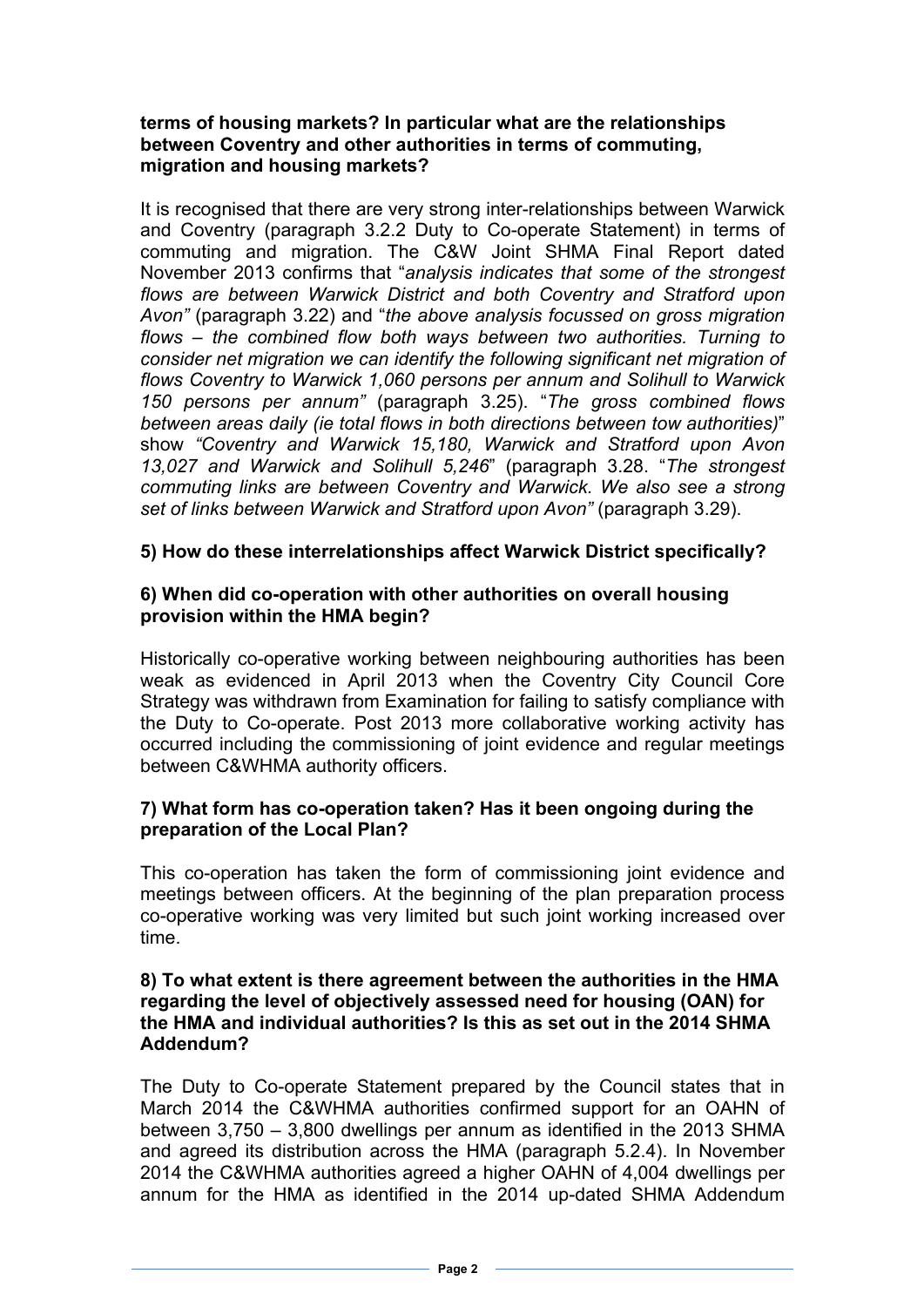## **terms of housing markets? In particular what are the relationships between Coventry and other authorities in terms of commuting, migration and housing markets?**

It is recognised that there are very strong inter-relationships between Warwick and Coventry (paragraph 3.2.2 Duty to Co-operate Statement) in terms of commuting and migration. The C&W Joint SHMA Final Report dated November 2013 confirms that "*analysis indicates that some of the strongest flows are between Warwick District and both Coventry and Stratford upon Avon"* (paragraph 3.22) and "*the above analysis focussed on gross migration flows – the combined flow both ways between two authorities. Turning to consider net migration we can identify the following significant net migration of flows Coventry to Warwick 1,060 persons per annum and Solihull to Warwick 150 persons per annum"* (paragraph 3.25). "*The gross combined flows between areas daily (ie total flows in both directions between tow authorities)*" show *"Coventry and Warwick 15,180, Warwick and Stratford upon Avon 13,027 and Warwick and Solihull 5,246*" (paragraph 3.28. "*The strongest commuting links are between Coventry and Warwick. We also see a strong set of links between Warwick and Stratford upon Avon"* (paragraph 3.29).

### **5) How do these interrelationships affect Warwick District specifically?**

### **6) When did co-operation with other authorities on overall housing provision within the HMA begin?**

Historically co-operative working between neighbouring authorities has been weak as evidenced in April 2013 when the Coventry City Council Core Strategy was withdrawn from Examination for failing to satisfy compliance with the Duty to Co-operate. Post 2013 more collaborative working activity has occurred including the commissioning of joint evidence and regular meetings between C&WHMA authority officers.

# **7) What form has co-operation taken? Has it been ongoing during the preparation of the Local Plan?**

This co-operation has taken the form of commissioning joint evidence and meetings between officers. At the beginning of the plan preparation process co-operative working was very limited but such joint working increased over time.

### **8) To what extent is there agreement between the authorities in the HMA regarding the level of objectively assessed need for housing (OAN) for the HMA and individual authorities? Is this as set out in the 2014 SHMA Addendum?**

The Duty to Co-operate Statement prepared by the Council states that in March 2014 the C&WHMA authorities confirmed support for an OAHN of between 3,750 – 3,800 dwellings per annum as identified in the 2013 SHMA and agreed its distribution across the HMA (paragraph 5.2.4). In November 2014 the C&WHMA authorities agreed a higher OAHN of 4,004 dwellings per annum for the HMA as identified in the 2014 up-dated SHMA Addendum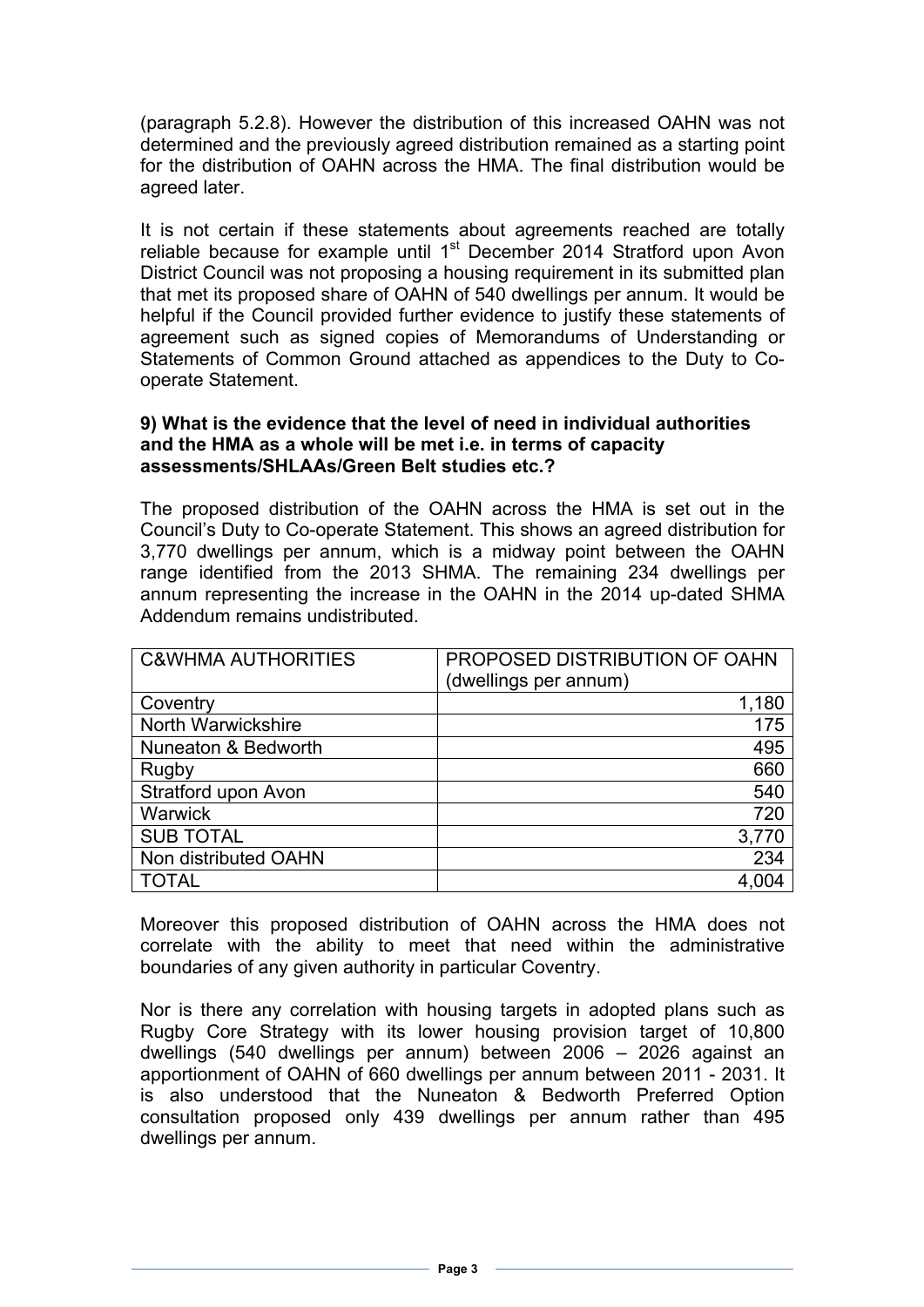(paragraph 5.2.8). However the distribution of this increased OAHN was not determined and the previously agreed distribution remained as a starting point for the distribution of OAHN across the HMA. The final distribution would be agreed later.

It is not certain if these statements about agreements reached are totally reliable because for example until 1<sup>st</sup> December 2014 Stratford upon Avon District Council was not proposing a housing requirement in its submitted plan that met its proposed share of OAHN of 540 dwellings per annum. It would be helpful if the Council provided further evidence to justify these statements of agreement such as signed copies of Memorandums of Understanding or Statements of Common Ground attached as appendices to the Duty to Cooperate Statement.

### **9) What is the evidence that the level of need in individual authorities and the HMA as a whole will be met i.e. in terms of capacity assessments/SHLAAs/Green Belt studies etc.?**

The proposed distribution of the OAHN across the HMA is set out in the Council's Duty to Co-operate Statement. This shows an agreed distribution for 3,770 dwellings per annum, which is a midway point between the OAHN range identified from the 2013 SHMA. The remaining 234 dwellings per annum representing the increase in the OAHN in the 2014 up-dated SHMA Addendum remains undistributed.

| <b>C&amp;WHMA AUTHORITIES</b> | PROPOSED DISTRIBUTION OF OAHN |
|-------------------------------|-------------------------------|
|                               | (dwellings per annum)         |
| Coventry                      | 1,180                         |
| North Warwickshire            | 175                           |
| Nuneaton & Bedworth           | 495                           |
| Rugby                         | 660                           |
| Stratford upon Avon           | 540                           |
| <b>Warwick</b>                | 720                           |
| <b>SUB TOTAL</b>              | 3,770                         |
| Non distributed OAHN          | 234                           |
| TOTAL                         |                               |

Moreover this proposed distribution of OAHN across the HMA does not correlate with the ability to meet that need within the administrative boundaries of any given authority in particular Coventry.

Nor is there any correlation with housing targets in adopted plans such as Rugby Core Strategy with its lower housing provision target of 10,800 dwellings (540 dwellings per annum) between 2006 – 2026 against an apportionment of OAHN of 660 dwellings per annum between 2011 - 2031. It is also understood that the Nuneaton & Bedworth Preferred Option consultation proposed only 439 dwellings per annum rather than 495 dwellings per annum.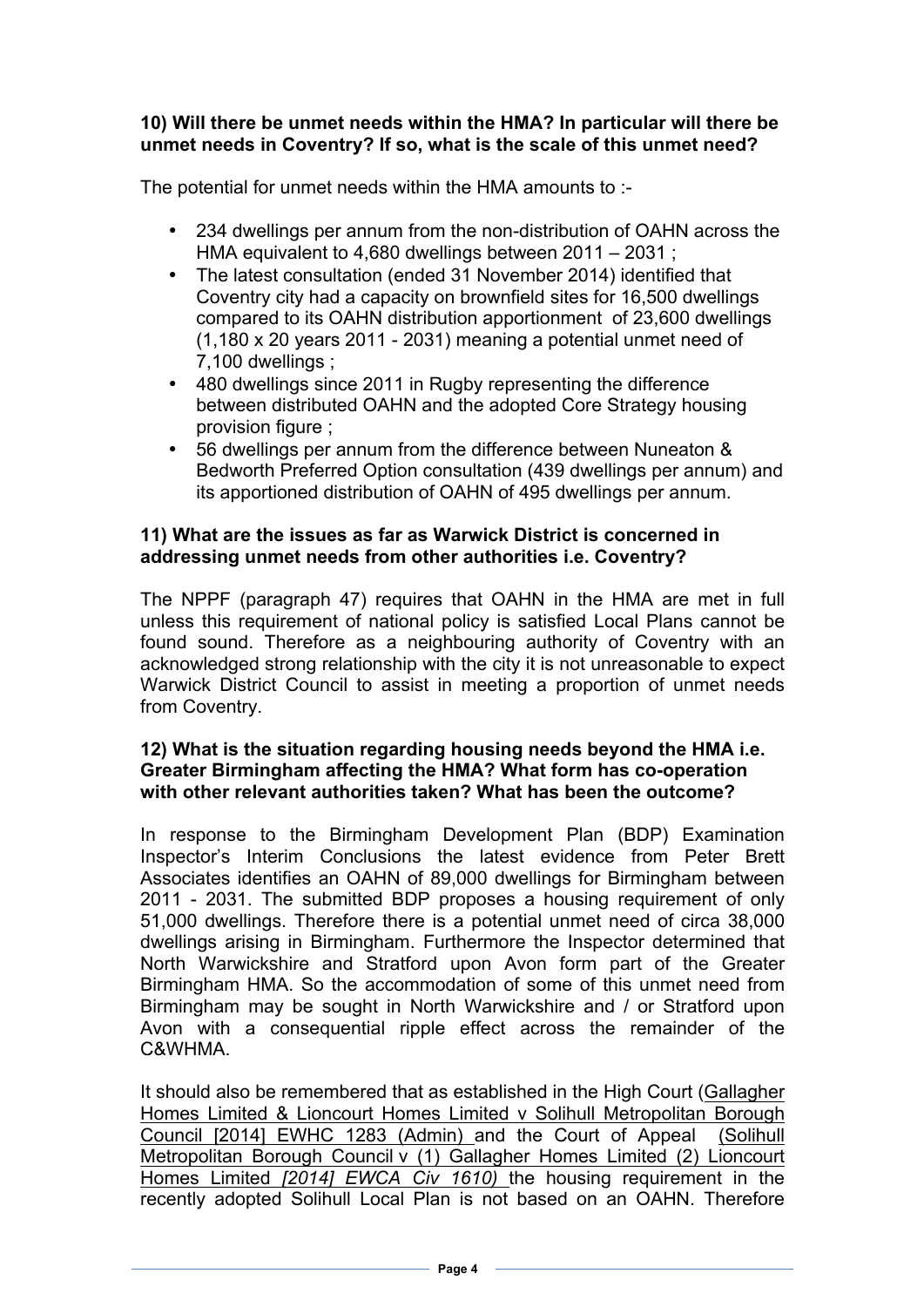## **10) Will there be unmet needs within the HMA? In particular will there be unmet needs in Coventry? If so, what is the scale of this unmet need?**

The potential for unmet needs within the HMA amounts to :-

- 234 dwellings per annum from the non-distribution of OAHN across the HMA equivalent to 4,680 dwellings between 2011 – 2031 ;
- The latest consultation (ended 31 November 2014) identified that Coventry city had a capacity on brownfield sites for 16,500 dwellings compared to its OAHN distribution apportionment of 23,600 dwellings (1,180 x 20 years 2011 - 2031) meaning a potential unmet need of 7,100 dwellings ;
- 480 dwellings since 2011 in Rugby representing the difference between distributed OAHN and the adopted Core Strategy housing provision figure ;
- 56 dwellings per annum from the difference between Nuneaton & Bedworth Preferred Option consultation (439 dwellings per annum) and its apportioned distribution of OAHN of 495 dwellings per annum.

# **11) What are the issues as far as Warwick District is concerned in addressing unmet needs from other authorities i.e. Coventry?**

The NPPF (paragraph 47) requires that OAHN in the HMA are met in full unless this requirement of national policy is satisfied Local Plans cannot be found sound. Therefore as a neighbouring authority of Coventry with an acknowledged strong relationship with the city it is not unreasonable to expect Warwick District Council to assist in meeting a proportion of unmet needs from Coventry.

### **12) What is the situation regarding housing needs beyond the HMA i.e. Greater Birmingham affecting the HMA? What form has co-operation with other relevant authorities taken? What has been the outcome?**

In response to the Birmingham Development Plan (BDP) Examination Inspector's Interim Conclusions the latest evidence from Peter Brett Associates identifies an OAHN of 89,000 dwellings for Birmingham between 2011 - 2031. The submitted BDP proposes a housing requirement of only 51,000 dwellings. Therefore there is a potential unmet need of circa 38,000 dwellings arising in Birmingham. Furthermore the Inspector determined that North Warwickshire and Stratford upon Avon form part of the Greater Birmingham HMA. So the accommodation of some of this unmet need from Birmingham may be sought in North Warwickshire and / or Stratford upon Avon with a consequential ripple effect across the remainder of the C&WHMA.

It should also be remembered that as established in the High Court (Gallagher Homes Limited & Lioncourt Homes Limited v Solihull Metropolitan Borough Council [2014] EWHC 1283 (Admin) and the Court of Appeal (Solihull Metropolitan Borough Council v (1) Gallagher Homes Limited (2) Lioncourt Homes Limited *[2014] EWCA Civ 1610)* the housing requirement in the recently adopted Solihull Local Plan is not based on an OAHN. Therefore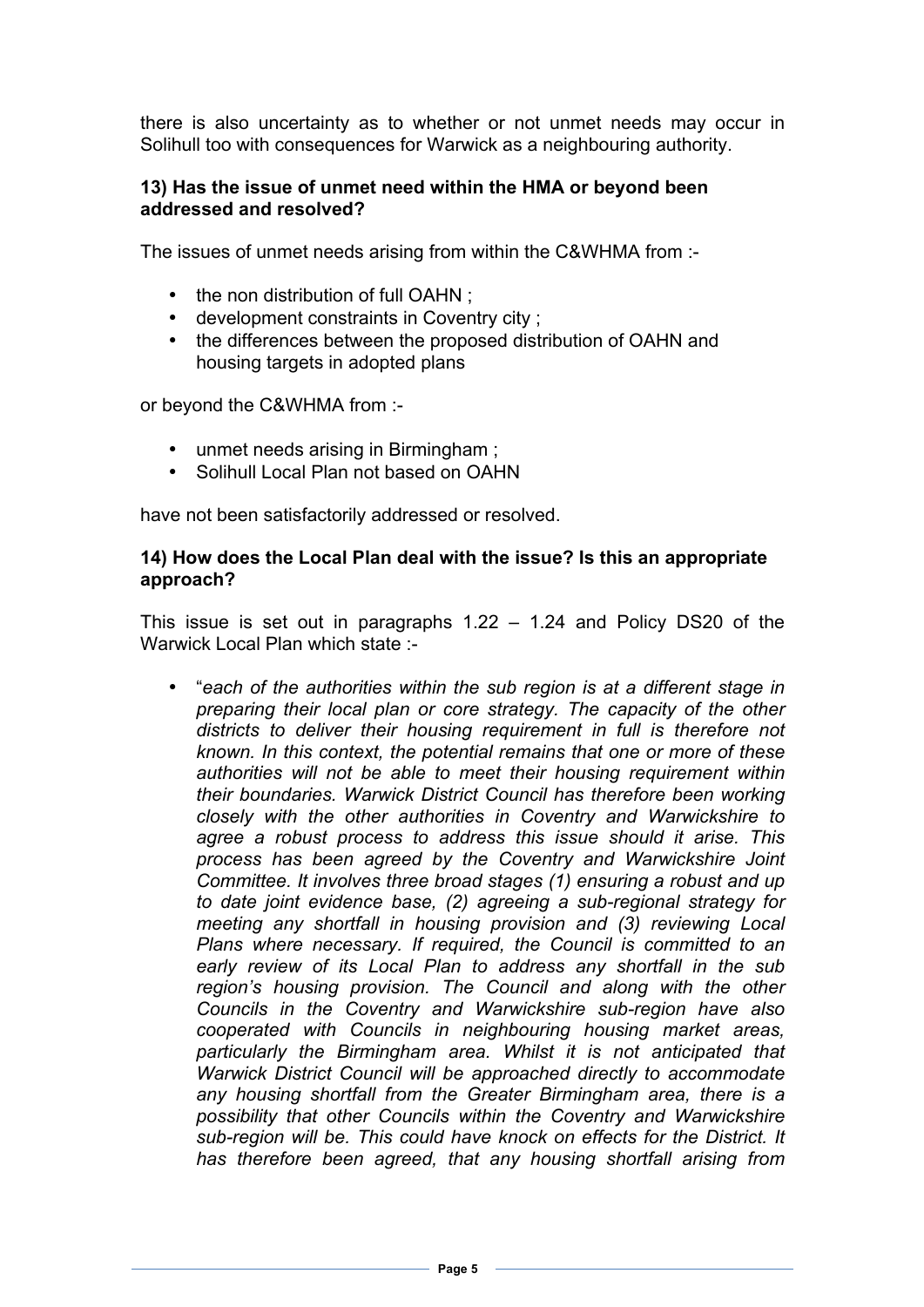there is also uncertainty as to whether or not unmet needs may occur in Solihull too with consequences for Warwick as a neighbouring authority.

### **13) Has the issue of unmet need within the HMA or beyond been addressed and resolved?**

The issues of unmet needs arising from within the C&WHMA from :-

- the non distribution of full OAHN;
- development constraints in Coventry city ;
- the differences between the proposed distribution of OAHN and housing targets in adopted plans

or beyond the C&WHMA from :-

- unmet needs arising in Birmingham ;
- Solihull Local Plan not based on OAHN

have not been satisfactorily addressed or resolved.

### **14) How does the Local Plan deal with the issue? Is this an appropriate approach?**

This issue is set out in paragraphs 1.22 – 1.24 and Policy DS20 of the Warwick Local Plan which state :-

• "*each of the authorities within the sub region is at a different stage in preparing their local plan or core strategy. The capacity of the other districts to deliver their housing requirement in full is therefore not known. In this context, the potential remains that one or more of these authorities will not be able to meet their housing requirement within their boundaries. Warwick District Council has therefore been working closely with the other authorities in Coventry and Warwickshire to agree a robust process to address this issue should it arise. This process has been agreed by the Coventry and Warwickshire Joint Committee. It involves three broad stages (1) ensuring a robust and up to date joint evidence base, (2) agreeing a sub-regional strategy for meeting any shortfall in housing provision and (3) reviewing Local Plans where necessary. If required, the Council is committed to an early review of its Local Plan to address any shortfall in the sub region's housing provision. The Council and along with the other Councils in the Coventry and Warwickshire sub-region have also cooperated with Councils in neighbouring housing market areas, particularly the Birmingham area. Whilst it is not anticipated that Warwick District Council will be approached directly to accommodate any housing shortfall from the Greater Birmingham area, there is a possibility that other Councils within the Coventry and Warwickshire sub-region will be. This could have knock on effects for the District. It has therefore been agreed, that any housing shortfall arising from*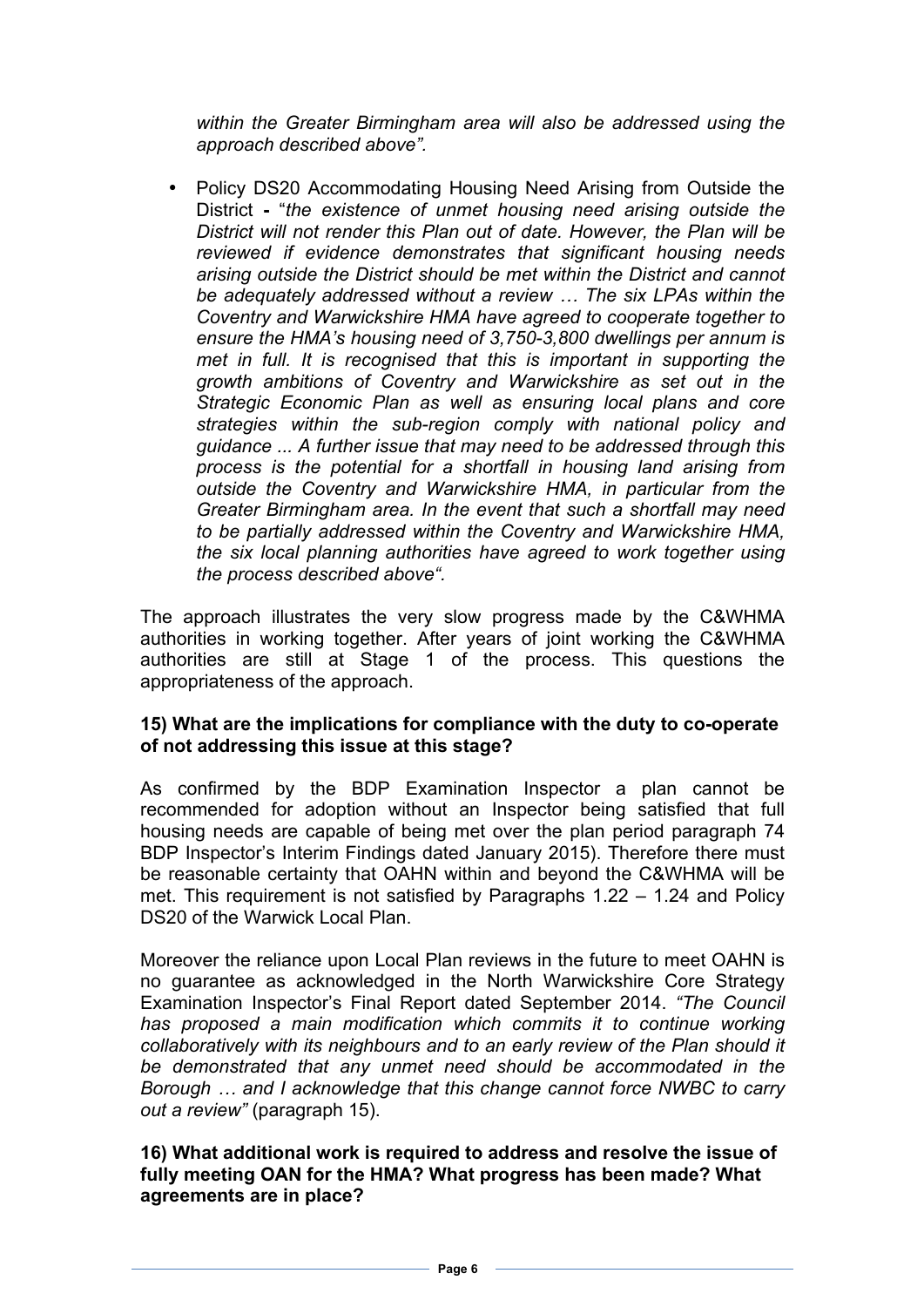*within the Greater Birmingham area will also be addressed using the approach described above".*

• Policy DS20 Accommodating Housing Need Arising from Outside the District **-** "*the existence of unmet housing need arising outside the District will not render this Plan out of date. However, the Plan will be reviewed if evidence demonstrates that significant housing needs arising outside the District should be met within the District and cannot be adequately addressed without a review … The six LPAs within the Coventry and Warwickshire HMA have agreed to cooperate together to ensure the HMA's housing need of 3,750-3,800 dwellings per annum is met in full. It is recognised that this is important in supporting the growth ambitions of Coventry and Warwickshire as set out in the Strategic Economic Plan as well as ensuring local plans and core strategies within the sub-region comply with national policy and guidance ... A further issue that may need to be addressed through this process is the potential for a shortfall in housing land arising from outside the Coventry and Warwickshire HMA, in particular from the Greater Birmingham area. In the event that such a shortfall may need to be partially addressed within the Coventry and Warwickshire HMA, the six local planning authorities have agreed to work together using the process described above".*

The approach illustrates the very slow progress made by the C&WHMA authorities in working together. After years of joint working the C&WHMA authorities are still at Stage 1 of the process. This questions the appropriateness of the approach.

# **15) What are the implications for compliance with the duty to co-operate of not addressing this issue at this stage?**

As confirmed by the BDP Examination Inspector a plan cannot be recommended for adoption without an Inspector being satisfied that full housing needs are capable of being met over the plan period paragraph 74 BDP Inspector's Interim Findings dated January 2015). Therefore there must be reasonable certainty that OAHN within and beyond the C&WHMA will be met. This requirement is not satisfied by Paragraphs 1.22 – 1.24 and Policy DS20 of the Warwick Local Plan.

Moreover the reliance upon Local Plan reviews in the future to meet OAHN is no guarantee as acknowledged in the North Warwickshire Core Strategy Examination Inspector's Final Report dated September 2014. *"The Council has proposed a main modification which commits it to continue working collaboratively with its neighbours and to an early review of the Plan should it be demonstrated that any unmet need should be accommodated in the Borough … and I acknowledge that this change cannot force NWBC to carry out a review"* (paragraph 15).

**16) What additional work is required to address and resolve the issue of fully meeting OAN for the HMA? What progress has been made? What agreements are in place?**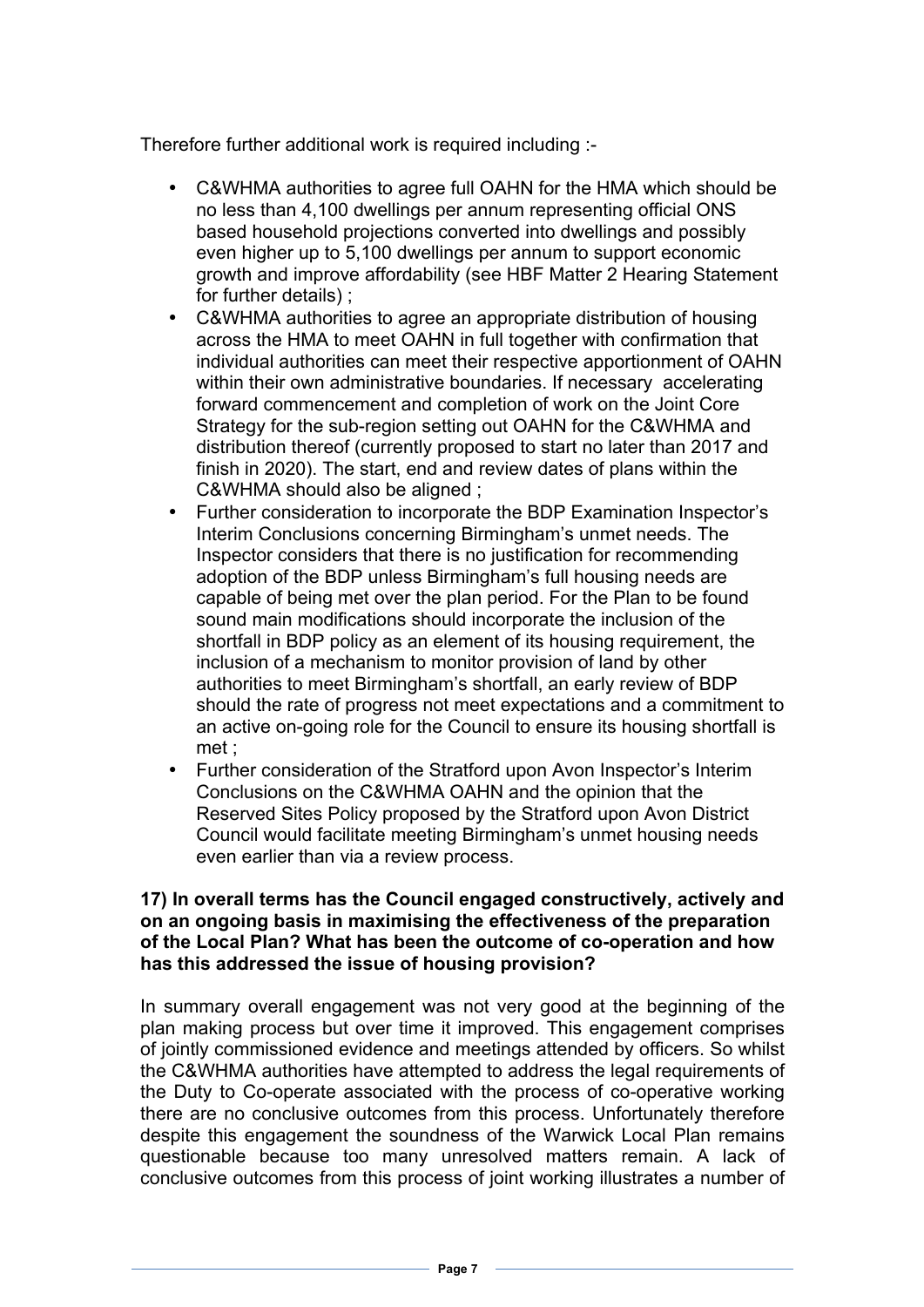Therefore further additional work is required including :-

- C&WHMA authorities to agree full OAHN for the HMA which should be no less than 4,100 dwellings per annum representing official ONS based household projections converted into dwellings and possibly even higher up to 5,100 dwellings per annum to support economic growth and improve affordability (see HBF Matter 2 Hearing Statement for further details) ;
- C&WHMA authorities to agree an appropriate distribution of housing across the HMA to meet OAHN in full together with confirmation that individual authorities can meet their respective apportionment of OAHN within their own administrative boundaries. If necessary accelerating forward commencement and completion of work on the Joint Core Strategy for the sub-region setting out OAHN for the C&WHMA and distribution thereof (currently proposed to start no later than 2017 and finish in 2020). The start, end and review dates of plans within the C&WHMA should also be aligned ;
- Further consideration to incorporate the BDP Examination Inspector's Interim Conclusions concerning Birmingham's unmet needs. The Inspector considers that there is no justification for recommending adoption of the BDP unless Birmingham's full housing needs are capable of being met over the plan period. For the Plan to be found sound main modifications should incorporate the inclusion of the shortfall in BDP policy as an element of its housing requirement, the inclusion of a mechanism to monitor provision of land by other authorities to meet Birmingham's shortfall, an early review of BDP should the rate of progress not meet expectations and a commitment to an active on-going role for the Council to ensure its housing shortfall is met ;
- Further consideration of the Stratford upon Avon Inspector's Interim Conclusions on the C&WHMA OAHN and the opinion that the Reserved Sites Policy proposed by the Stratford upon Avon District Council would facilitate meeting Birmingham's unmet housing needs even earlier than via a review process.

### **17) In overall terms has the Council engaged constructively, actively and on an ongoing basis in maximising the effectiveness of the preparation of the Local Plan? What has been the outcome of co-operation and how has this addressed the issue of housing provision?**

In summary overall engagement was not very good at the beginning of the plan making process but over time it improved. This engagement comprises of jointly commissioned evidence and meetings attended by officers. So whilst the C&WHMA authorities have attempted to address the legal requirements of the Duty to Co-operate associated with the process of co-operative working there are no conclusive outcomes from this process. Unfortunately therefore despite this engagement the soundness of the Warwick Local Plan remains questionable because too many unresolved matters remain. A lack of conclusive outcomes from this process of joint working illustrates a number of